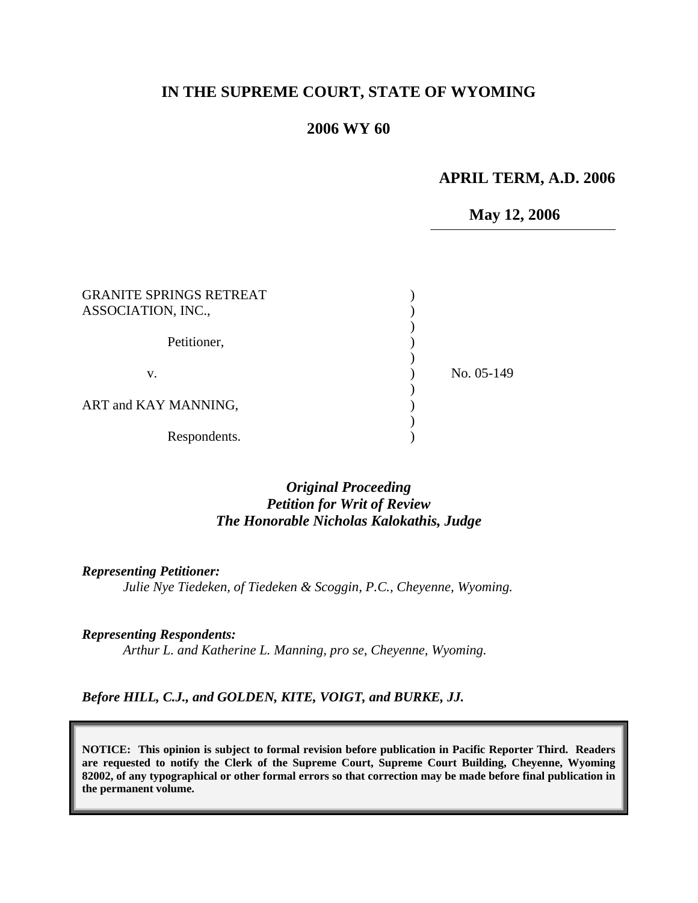# **IN THE SUPREME COURT, STATE OF WYOMING**

#### **2006 WY 60**

#### **APRIL TERM, A.D. 2006**

# **May 12, 2006**

| <b>GRANITE SPRINGS RETREAT</b><br>ASSOCIATION, INC., |            |
|------------------------------------------------------|------------|
| Petitioner,                                          |            |
| V.                                                   | No. 05-149 |
| ART and KAY MANNING,                                 |            |
| Respondents.                                         |            |

### *Original Proceeding Petition for Writ of Review The Honorable Nicholas Kalokathis, Judge*

*Representing Petitioner:* 

*Julie Nye Tiedeken, of Tiedeken & Scoggin, P.C., Cheyenne, Wyoming.* 

*Representing Respondents: Arthur L. and Katherine L. Manning, pro se, Cheyenne, Wyoming.* 

*Before HILL, C.J., and GOLDEN, KITE, VOIGT, and BURKE, JJ.* 

**NOTICE: This opinion is subject to formal revision before publication in Pacific Reporter Third. Readers are requested to notify the Clerk of the Supreme Court, Supreme Court Building, Cheyenne, Wyoming 82002, of any typographical or other formal errors so that correction may be made before final publication in the permanent volume.**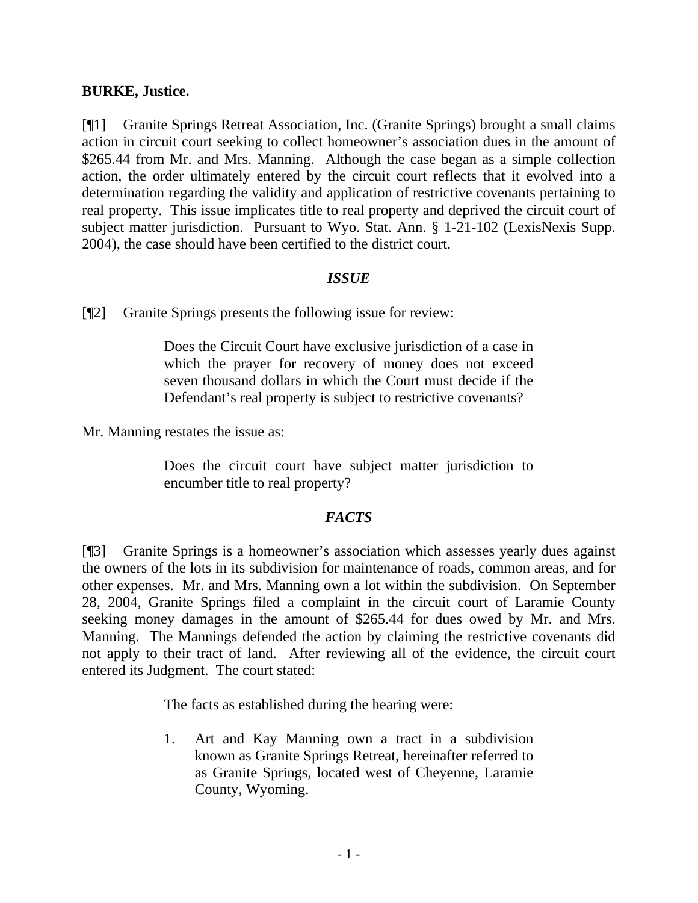### **BURKE, Justice.**

[¶1] Granite Springs Retreat Association, Inc. (Granite Springs) brought a small claims action in circuit court seeking to collect homeowner's association dues in the amount of \$265.44 from Mr. and Mrs. Manning. Although the case began as a simple collection action, the order ultimately entered by the circuit court reflects that it evolved into a determination regarding the validity and application of restrictive covenants pertaining to real property. This issue implicates title to real property and deprived the circuit court of subject matter jurisdiction. Pursuant to Wyo. Stat. Ann. § 1-21-102 (LexisNexis Supp. 2004), the case should have been certified to the district court.

### *ISSUE*

[¶2] Granite Springs presents the following issue for review:

Does the Circuit Court have exclusive jurisdiction of a case in which the prayer for recovery of money does not exceed seven thousand dollars in which the Court must decide if the Defendant's real property is subject to restrictive covenants?

Mr. Manning restates the issue as:

Does the circuit court have subject matter jurisdiction to encumber title to real property?

## *FACTS*

[¶3] Granite Springs is a homeowner's association which assesses yearly dues against the owners of the lots in its subdivision for maintenance of roads, common areas, and for other expenses. Mr. and Mrs. Manning own a lot within the subdivision. On September 28, 2004, Granite Springs filed a complaint in the circuit court of Laramie County seeking money damages in the amount of \$265.44 for dues owed by Mr. and Mrs. Manning. The Mannings defended the action by claiming the restrictive covenants did not apply to their tract of land. After reviewing all of the evidence, the circuit court entered its Judgment. The court stated:

The facts as established during the hearing were:

1. Art and Kay Manning own a tract in a subdivision known as Granite Springs Retreat, hereinafter referred to as Granite Springs, located west of Cheyenne, Laramie County, Wyoming.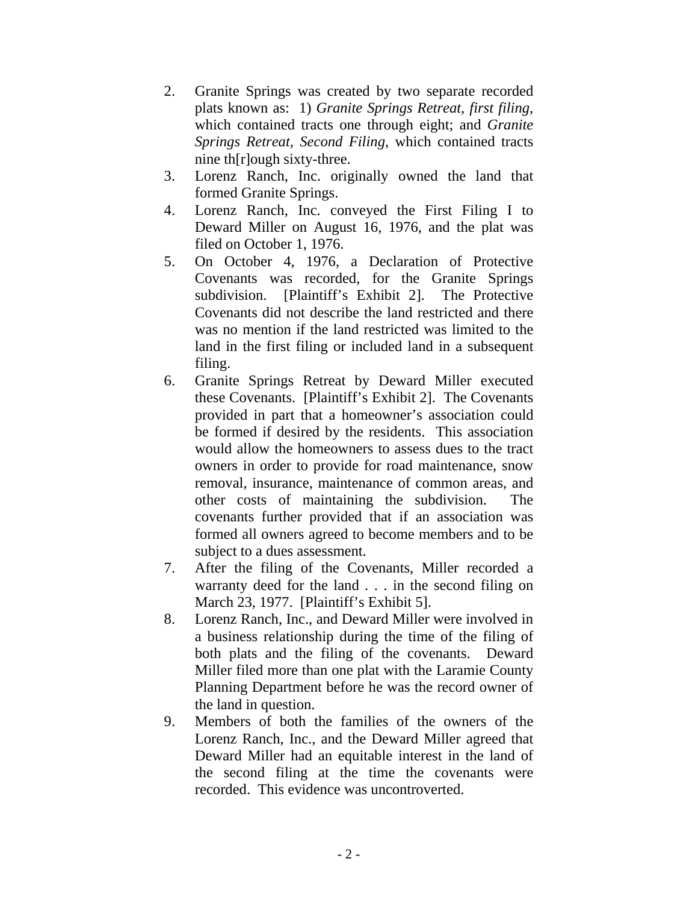- 2. Granite Springs was created by two separate recorded plats known as: 1) *Granite Springs Retreat, first filing,* which contained tracts one through eight; and *Granite Springs Retreat, Second Filing*, which contained tracts nine th[r]ough sixty-three.
- 3. Lorenz Ranch, Inc. originally owned the land that formed Granite Springs.
- 4. Lorenz Ranch, Inc. conveyed the First Filing I to Deward Miller on August 16, 1976, and the plat was filed on October 1, 1976.
- 5. On October 4, 1976, a Declaration of Protective Covenants was recorded, for the Granite Springs subdivision. [Plaintiff's Exhibit 2]. The Protective Covenants did not describe the land restricted and there was no mention if the land restricted was limited to the land in the first filing or included land in a subsequent filing.
- 6. Granite Springs Retreat by Deward Miller executed these Covenants. [Plaintiff's Exhibit 2]. The Covenants provided in part that a homeowner's association could be formed if desired by the residents. This association would allow the homeowners to assess dues to the tract owners in order to provide for road maintenance, snow removal, insurance, maintenance of common areas, and other costs of maintaining the subdivision. The covenants further provided that if an association was formed all owners agreed to become members and to be subject to a dues assessment.
- 7. After the filing of the Covenants, Miller recorded a warranty deed for the land . . . in the second filing on March 23, 1977. [Plaintiff's Exhibit 5].
- 8. Lorenz Ranch, Inc., and Deward Miller were involved in a business relationship during the time of the filing of both plats and the filing of the covenants. Deward Miller filed more than one plat with the Laramie County Planning Department before he was the record owner of the land in question.
- 9. Members of both the families of the owners of the Lorenz Ranch, Inc., and the Deward Miller agreed that Deward Miller had an equitable interest in the land of the second filing at the time the covenants were recorded. This evidence was uncontroverted.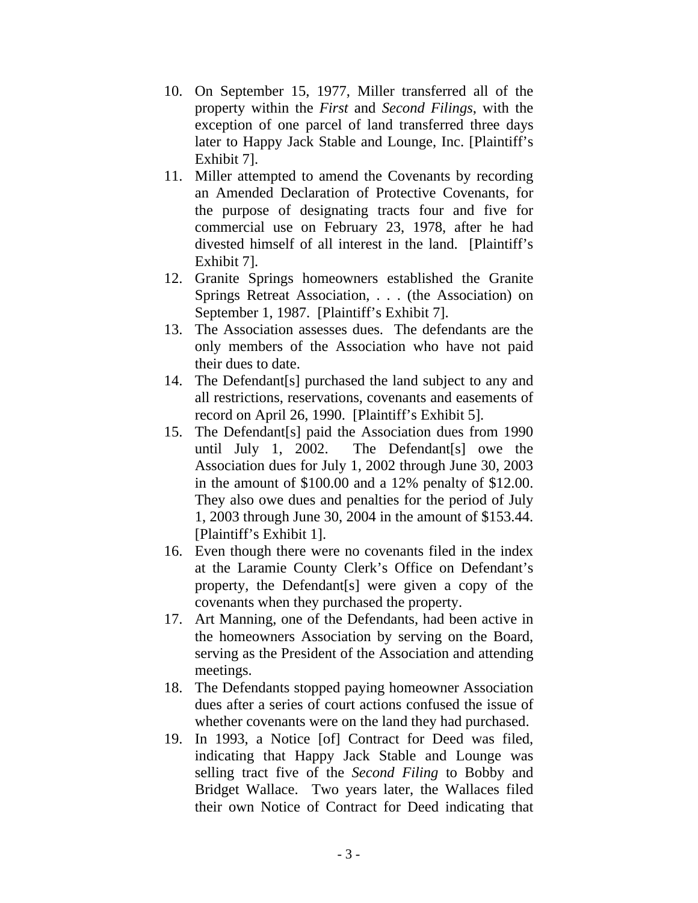- 10. On September 15, 1977, Miller transferred all of the property within the *First* and *Second Filings*, with the exception of one parcel of land transferred three days later to Happy Jack Stable and Lounge, Inc. [Plaintiff's Exhibit 7].
- 11. Miller attempted to amend the Covenants by recording an Amended Declaration of Protective Covenants, for the purpose of designating tracts four and five for commercial use on February 23, 1978, after he had divested himself of all interest in the land. [Plaintiff's Exhibit 7].
- 12. Granite Springs homeowners established the Granite Springs Retreat Association, . . . (the Association) on September 1, 1987. [Plaintiff's Exhibit 7].
- 13. The Association assesses dues. The defendants are the only members of the Association who have not paid their dues to date.
- 14. The Defendant[s] purchased the land subject to any and all restrictions, reservations, covenants and easements of record on April 26, 1990. [Plaintiff's Exhibit 5].
- 15. The Defendant[s] paid the Association dues from 1990 until July 1, 2002. The Defendant[s] owe the Association dues for July 1, 2002 through June 30, 2003 in the amount of \$100.00 and a 12% penalty of \$12.00. They also owe dues and penalties for the period of July 1, 2003 through June 30, 2004 in the amount of \$153.44. [Plaintiff's Exhibit 1].
- 16. Even though there were no covenants filed in the index at the Laramie County Clerk's Office on Defendant's property, the Defendant[s] were given a copy of the covenants when they purchased the property.
- 17. Art Manning, one of the Defendants, had been active in the homeowners Association by serving on the Board, serving as the President of the Association and attending meetings.
- 18. The Defendants stopped paying homeowner Association dues after a series of court actions confused the issue of whether covenants were on the land they had purchased.
- 19. In 1993, a Notice [of] Contract for Deed was filed, indicating that Happy Jack Stable and Lounge was selling tract five of the *Second Filing* to Bobby and Bridget Wallace. Two years later, the Wallaces filed their own Notice of Contract for Deed indicating that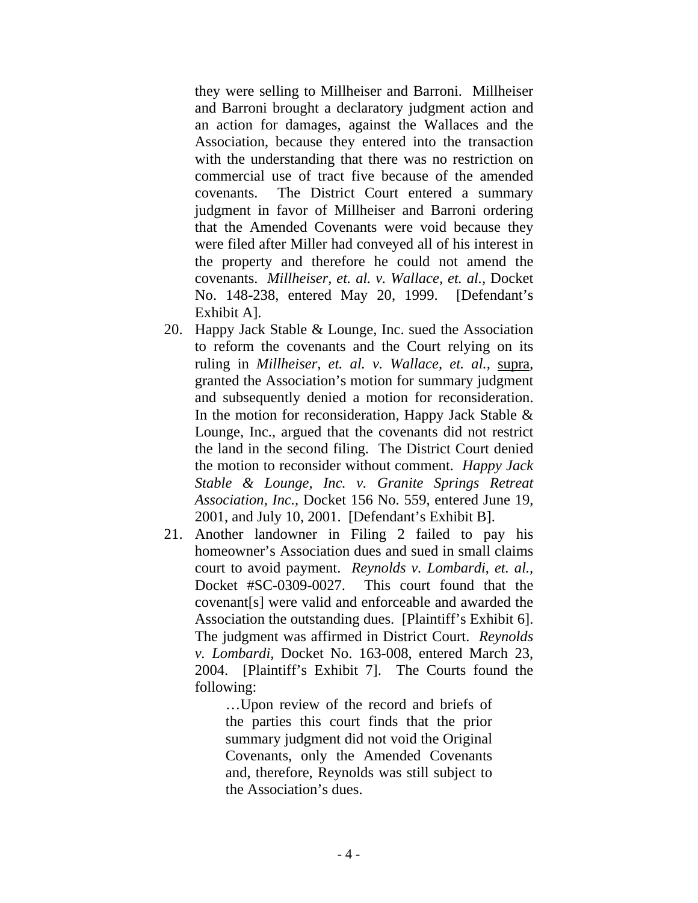they were selling to Millheiser and Barroni. Millheiser and Barroni brought a declaratory judgment action and an action for damages, against the Wallaces and the Association, because they entered into the transaction with the understanding that there was no restriction on commercial use of tract five because of the amended covenants. The District Court entered a summary judgment in favor of Millheiser and Barroni ordering that the Amended Covenants were void because they were filed after Miller had conveyed all of his interest in the property and therefore he could not amend the covenants. *Millheiser, et. al. v. Wallace, et. al.,* Docket No. 148-238, entered May 20, 1999. [Defendant's Exhibit A].

- 20. Happy Jack Stable & Lounge, Inc. sued the Association to reform the covenants and the Court relying on its ruling in *Millheiser, et. al. v. Wallace, et. al.,* supra, granted the Association's motion for summary judgment and subsequently denied a motion for reconsideration. In the motion for reconsideration, Happy Jack Stable  $\&$ Lounge, Inc., argued that the covenants did not restrict the land in the second filing. The District Court denied the motion to reconsider without comment. *Happy Jack Stable & Lounge, Inc. v. Granite Springs Retreat Association, Inc.,* Docket 156 No. 559, entered June 19, 2001, and July 10, 2001. [Defendant's Exhibit B].
- 21. Another landowner in Filing 2 failed to pay his homeowner's Association dues and sued in small claims court to avoid payment. *Reynolds v. Lombardi*, *et. al.,* Docket #SC-0309-0027. This court found that the covenant[s] were valid and enforceable and awarded the Association the outstanding dues. [Plaintiff's Exhibit 6]. The judgment was affirmed in District Court. *Reynolds v. Lombardi,* Docket No. 163-008, entered March 23, 2004. [Plaintiff's Exhibit 7]. The Courts found the following:

…Upon review of the record and briefs of the parties this court finds that the prior summary judgment did not void the Original Covenants, only the Amended Covenants and, therefore, Reynolds was still subject to the Association's dues.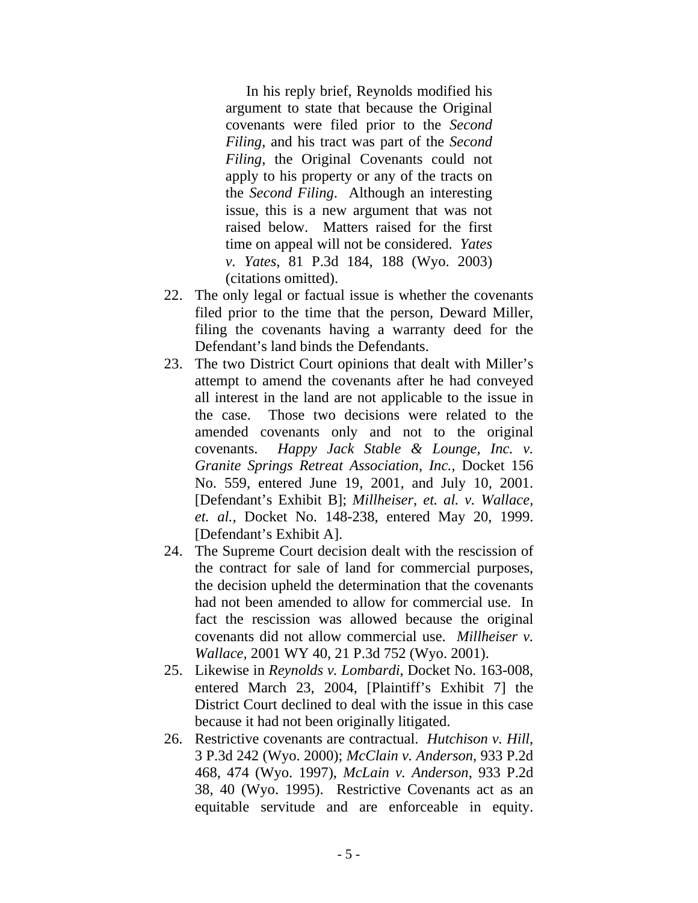In his reply brief, Reynolds modified his argument to state that because the Original covenants were filed prior to the *Second Filing*, and his tract was part of the *Second Filing*, the Original Covenants could not apply to his property or any of the tracts on the *Second Filing*. Although an interesting issue, this is a new argument that was not raised below. Matters raised for the first time on appeal will not be considered. *Yates v. Yates*, 81 P.3d 184, 188 (Wyo. 2003) (citations omitted).

- 22. The only legal or factual issue is whether the covenants filed prior to the time that the person, Deward Miller, filing the covenants having a warranty deed for the Defendant's land binds the Defendants.
- 23. The two District Court opinions that dealt with Miller's attempt to amend the covenants after he had conveyed all interest in the land are not applicable to the issue in the case. Those two decisions were related to the amended covenants only and not to the original covenants. *Happy Jack Stable & Lounge, Inc. v. Granite Springs Retreat Association*, *Inc.,* Docket 156 No. 559, entered June 19, 2001, and July 10, 2001. [Defendant's Exhibit B]; *Millheiser, et. al. v. Wallace, et. al.,* Docket No. 148-238, entered May 20, 1999. [Defendant's Exhibit A].
- 24. The Supreme Court decision dealt with the rescission of the contract for sale of land for commercial purposes, the decision upheld the determination that the covenants had not been amended to allow for commercial use. In fact the rescission was allowed because the original covenants did not allow commercial use. *Millheiser v. Wallace,* 2001 WY 40, 21 P.3d 752 (Wyo. 2001).
- 25. Likewise in *Reynolds v. Lombardi*, Docket No. 163-008, entered March 23, 2004, [Plaintiff's Exhibit 7] the District Court declined to deal with the issue in this case because it had not been originally litigated.
- 26. Restrictive covenants are contractual. *Hutchison v. Hill*, 3 P.3d 242 (Wyo. 2000); *McClain v. Anderson*, 933 P.2d 468, 474 (Wyo. 1997), *McLain v. Anderson*, 933 P.2d 38, 40 (Wyo. 1995). Restrictive Covenants act as an equitable servitude and are enforceable in equity.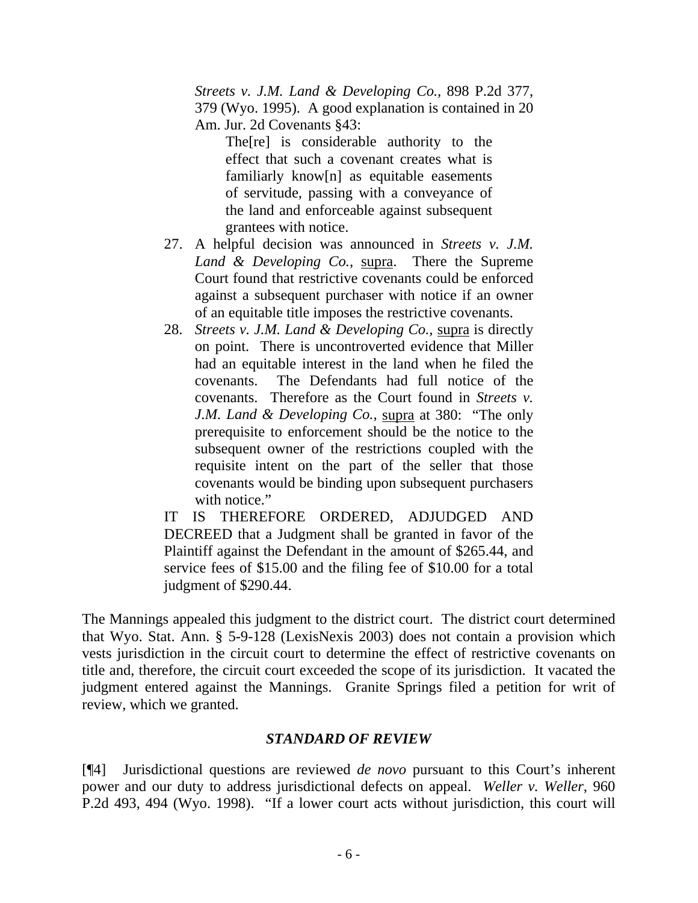*Streets v. J.M. Land & Developing Co.,* 898 P.2d 377, 379 (Wyo. 1995). A good explanation is contained in 20 Am. Jur. 2d Covenants §43:

 The[re] is considerable authority to the effect that such a covenant creates what is familiarly know[n] as equitable easements of servitude, passing with a conveyance of the land and enforceable against subsequent grantees with notice.

- 27. A helpful decision was announced in *Streets v. J.M. Land & Developing Co.,* supra. There the Supreme Court found that restrictive covenants could be enforced against a subsequent purchaser with notice if an owner of an equitable title imposes the restrictive covenants.
- 28. *Streets v. J.M. Land & Developing Co.,* supra is directly on point. There is uncontroverted evidence that Miller had an equitable interest in the land when he filed the covenants. The Defendants had full notice of the covenants. Therefore as the Court found in *Streets v. J.M. Land & Developing Co.,* supra at 380: "The only prerequisite to enforcement should be the notice to the subsequent owner of the restrictions coupled with the requisite intent on the part of the seller that those covenants would be binding upon subsequent purchasers with notice."

IT IS THEREFORE ORDERED, ADJUDGED AND DECREED that a Judgment shall be granted in favor of the Plaintiff against the Defendant in the amount of \$265.44, and service fees of \$15.00 and the filing fee of \$10.00 for a total judgment of \$290.44.

The Mannings appealed this judgment to the district court. The district court determined that Wyo. Stat. Ann. § 5-9-128 (LexisNexis 2003) does not contain a provision which vests jurisdiction in the circuit court to determine the effect of restrictive covenants on title and, therefore, the circuit court exceeded the scope of its jurisdiction. It vacated the judgment entered against the Mannings. Granite Springs filed a petition for writ of review, which we granted.

## *STANDARD OF REVIEW*

[¶4] Jurisdictional questions are reviewed *de novo* pursuant to this Court's inherent power and our duty to address jurisdictional defects on appeal. *[Weller v. Weller](http://www.lexis.com/research/xlink?app=00075&view=full&searchtype=get&search=960+P.2d+494)*, 960 [P.2d 493, 494 \(Wyo. 1998\).](http://www.lexis.com/research/xlink?app=00075&view=full&searchtype=get&search=960+P.2d+494) "If a lower court acts without jurisdiction, this court will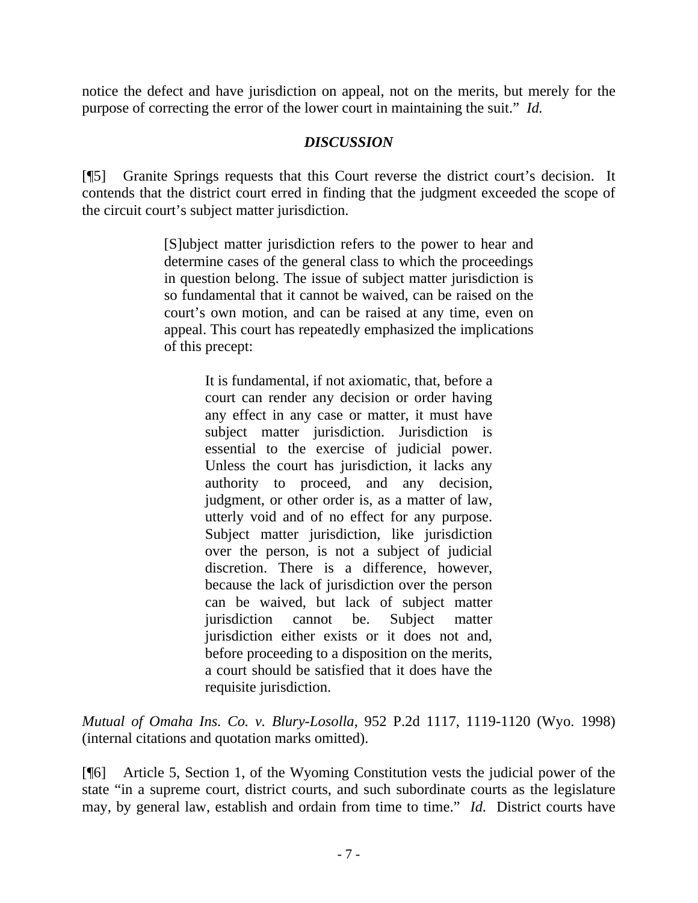notice the defect and have jurisdiction on appeal, not on the merits, but merely for the purpose of correcting the error of the lower court in maintaining the suit." *Id.*

# *DISCUSSION*

[¶5] Granite Springs requests that this Court reverse the district court's decision. It contends that the district court erred in finding that the judgment exceeded the scope of the circuit court's subject matter jurisdiction.

> [S]ubject matter jurisdiction refers to the power to hear and determine cases of the general class to which the proceedings in question belong. The issue of subject matter jurisdiction is so fundamental that it cannot be waived, can be raised on the court's own motion, and can be raised at any time, even on appeal. This court has repeatedly emphasized the implications of this precept:

> > It is fundamental, if not axiomatic, that, before a court can render any decision or order having any effect in any case or matter, it must have subject matter jurisdiction. Jurisdiction is essential to the exercise of judicial power. Unless the court has jurisdiction, it lacks any authority to proceed, and any decision, judgment, or other order is, as a matter of law, utterly void and of no effect for any purpose. Subject matter jurisdiction, like jurisdiction over the person, is not a subject of judicial discretion. There is a difference, however, because the lack of jurisdiction over the person can be waived, but lack of subject matter jurisdiction cannot be. Subject matter jurisdiction either exists or it does not and, before proceeding to a disposition on the merits, a court should be satisfied that it does have the requisite jurisdiction.

*[Mutual of Omaha Ins. Co. v. Blury-Losolla](http://www.lexis.com/research/xlink?app=00075&view=full&searchtype=get&search=952+P.2d+1119)*, 952 P.2d 1117, 1119-1120 (Wyo. 1998) (internal citations and quotation marks omitted).

[¶6] Article 5, Section 1, of the Wyoming Constitution vests the judicial power of the state "in a supreme court, district courts, and such subordinate courts as the legislature may, by general law, establish and ordain from time to time." *Id.* District courts have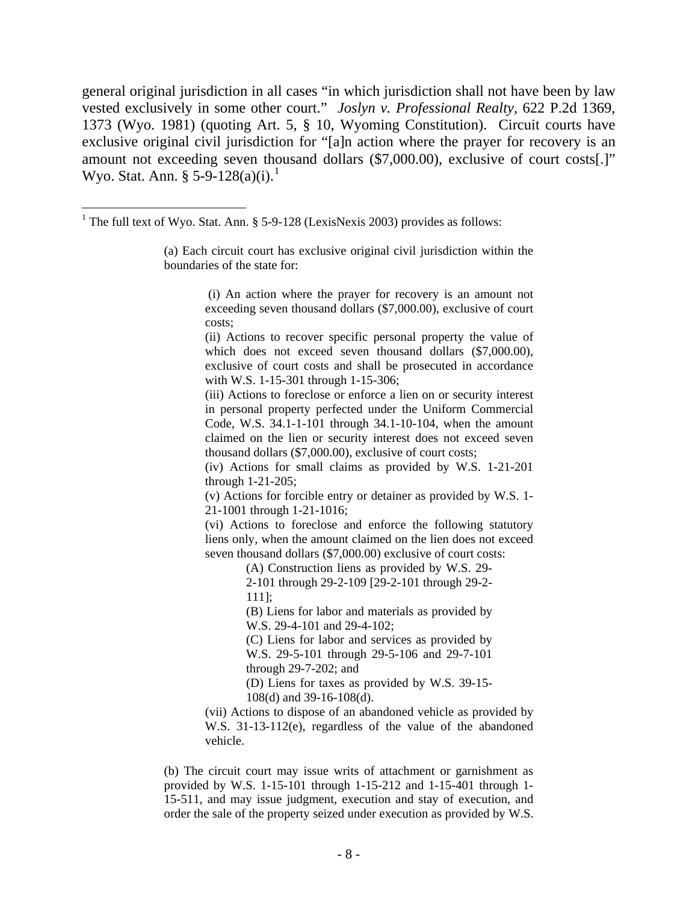general original jurisdiction in all cases "in which jurisdiction shall not have been by law vested exclusively in some other court." *Joslyn v. Professional Realty,* 622 P.2d 1369, 1373 (Wyo. 1981) (quoting Art. 5, § 10, Wyoming Constitution). Circuit courts have exclusive original civil jurisdiction for "[a]n action where the prayer for recovery is an amount not exceeding seven thousand dollars (\$7,000.00), exclusive of court costs[.]" Wyo. Stat. Ann.  $\S 5-9-128(a)(i).$  $\S 5-9-128(a)(i).$  $\S 5-9-128(a)(i).$ <sup>1</sup>

 $\overline{a}$ 

 (i) An action where the prayer for recovery is an amount not exceeding seven thousand dollars (\$7,000.00), exclusive of court costs;

(ii) Actions to recover specific personal property the value of which does not exceed seven thousand dollars (\$7,000.00), exclusive of court costs and shall be prosecuted in accordance with W.S. 1-15-301 through 1-15-306;

(iii) Actions to foreclose or enforce a lien on or security interest in personal property perfected under the Uniform Commercial Code, W.S. 34.1-1-101 through 34.1-10-104, when the amount claimed on the lien or security interest does not exceed seven thousand dollars (\$7,000.00), exclusive of court costs;

(iv) Actions for small claims as provided by W.S. 1-21-201 through 1-21-205;

(v) Actions for forcible entry or detainer as provided by W.S. 1- 21-1001 through 1-21-1016;

(vi) Actions to foreclose and enforce the following statutory liens only, when the amount claimed on the lien does not exceed seven thousand dollars (\$7,000.00) exclusive of court costs:

(A) Construction liens as provided by W.S. 29-

2-101 through 29-2-109 [29-2-101 through 29-2- 111];

(B) Liens for labor and materials as provided by W.S. 29-4-101 and 29-4-102;

(C) Liens for labor and services as provided by W.S. 29-5-101 through 29-5-106 and 29-7-101 through 29-7-202; and

(D) Liens for taxes as provided by W.S. 39-15-

108(d) and 39-16-108(d).

(vii) Actions to dispose of an abandoned vehicle as provided by W.S. 31-13-112(e), regardless of the value of the abandoned vehicle.

(b) The circuit court may issue writs of attachment or garnishment as provided by W.S. 1-15-101 through 1-15-212 and 1-15-401 through 1- 15-511, and may issue judgment, execution and stay of execution, and order the sale of the property seized under execution as provided by W.S.

<span id="page-8-0"></span><sup>&</sup>lt;sup>1</sup> The full text of Wyo. Stat. Ann. § 5-9-128 (LexisNexis 2003) provides as follows:

<sup>(</sup>a) Each circuit court has exclusive original civil jurisdiction within the boundaries of the state for: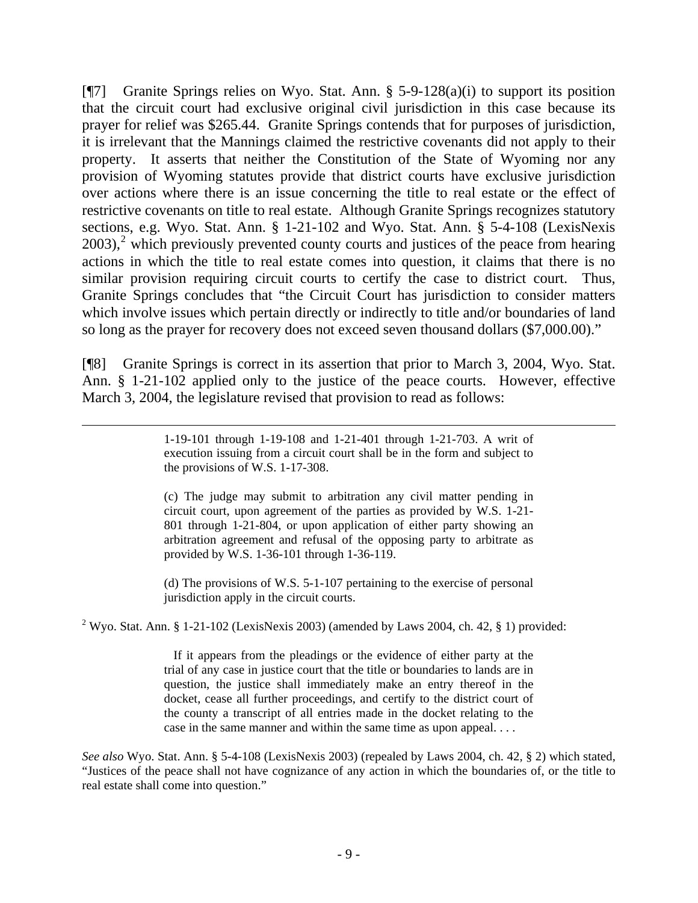[¶7] Granite Springs relies on Wyo. Stat. Ann. § 5-9-128(a)(i) to support its position that the circuit court had exclusive original civil jurisdiction in this case because its prayer for relief was \$265.44. Granite Springs contends that for purposes of jurisdiction, it is irrelevant that the Mannings claimed the restrictive covenants did not apply to their property. It asserts that neither the Constitution of the State of Wyoming nor any provision of Wyoming statutes provide that district courts have exclusive jurisdiction over actions where there is an issue concerning the title to real estate or the effect of restrictive covenants on title to real estate. Although Granite Springs recognizes statutory sections, e.g. Wyo. Stat. Ann. § 1-21-102 and Wyo. Stat. Ann. § 5-4-108 (LexisNexis  $2003$  $2003$ <sup>2</sup>, which previously prevented county courts and justices of the peace from hearing actions in which the title to real estate comes into question, it claims that there is no similar provision requiring circuit courts to certify the case to district court. Thus, Granite Springs concludes that "the Circuit Court has jurisdiction to consider matters which involve issues which pertain directly or indirectly to title and/or boundaries of land so long as the prayer for recovery does not exceed seven thousand dollars (\$7,000.00)."

[¶8] Granite Springs is correct in its assertion that prior to March 3, 2004, Wyo. Stat. Ann. § 1-21-102 applied only to the justice of the peace courts. However, effective March 3, 2004, the legislature revised that provision to read as follows:

> 1-19-101 through 1-19-108 and 1-21-401 through 1-21-703. A writ of execution issuing from a circuit court shall be in the form and subject to the provisions of W.S. 1-17-308.

 $\overline{a}$ 

(c) The judge may submit to arbitration any civil matter pending in circuit court, upon agreement of the parties as provided by W.S. 1-21- 801 through 1-21-804, or upon application of either party showing an arbitration agreement and refusal of the opposing party to arbitrate as provided by W.S. 1-36-101 through 1-36-119.

(d) The provisions of W.S. 5-1-107 pertaining to the exercise of personal jurisdiction apply in the circuit courts.

<span id="page-9-0"></span><sup>2</sup> Wyo. Stat. Ann. § 1-21-102 (LexisNexis 2003) (amended by Laws 2004, ch. 42, § 1) provided:

 If it appears from the pleadings or the evidence of either party at the trial of any case in justice court that the title or boundaries to lands are in question, the justice shall immediately make an entry thereof in the docket, cease all further proceedings, and certify to the district court of the county a transcript of all entries made in the docket relating to the case in the same manner and within the same time as upon appeal. . . .

*See also* Wyo. Stat. Ann. § 5-4-108 (LexisNexis 2003) (repealed by Laws 2004, ch. 42, § 2) which stated, "Justices of the peace shall not have cognizance of any action in which the boundaries of, or the title to real estate shall come into question."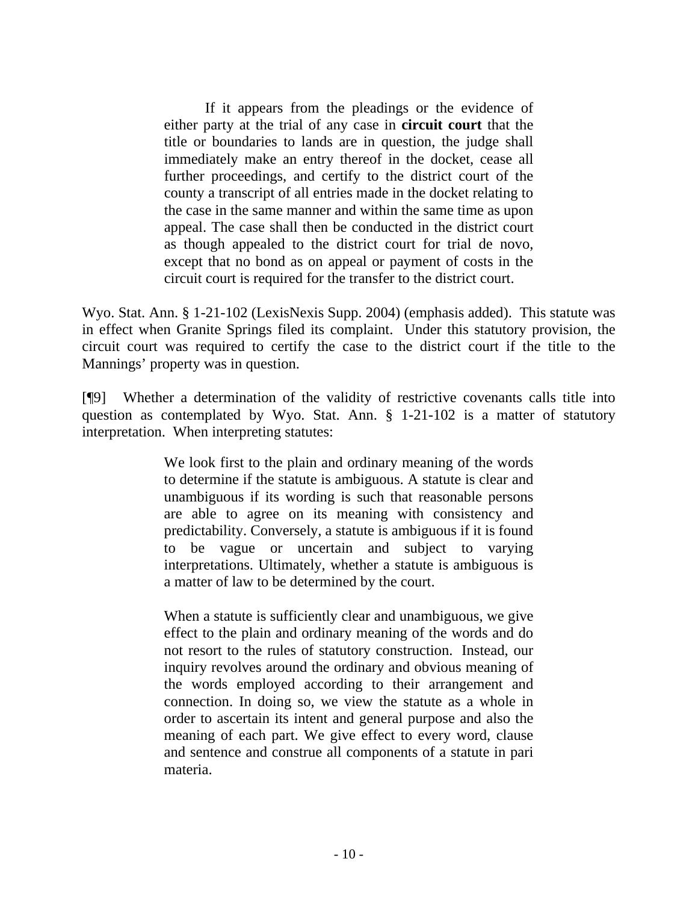If it appears from the pleadings or the evidence of either party at the trial of any case in **circuit court** that the title or boundaries to lands are in question, the judge shall immediately make an entry thereof in the docket, cease all further proceedings, and certify to the district court of the county a transcript of all entries made in the docket relating to the case in the same manner and within the same time as upon appeal. The case shall then be conducted in the district court as though appealed to the district court for trial de novo, except that no bond as on appeal or payment of costs in the circuit court is required for the transfer to the district court.

Wyo. Stat. Ann. § 1-21-102 (LexisNexis Supp. 2004) (emphasis added). This statute was in effect when Granite Springs filed its complaint. Under this statutory provision, the circuit court was required to certify the case to the district court if the title to the Mannings' property was in question.

[¶9] Whether a determination of the validity of restrictive covenants calls title into question as contemplated by Wyo. Stat. Ann. § 1-21-102 is a matter of statutory interpretation. When interpreting statutes:

> We look first to the plain and ordinary meaning of the words to determine if the statute is ambiguous. A statute is clear and unambiguous if its wording is such that reasonable persons are able to agree on its meaning with consistency and predictability. Conversely, a statute is ambiguous if it is found to be vague or uncertain and subject to varying interpretations. Ultimately, whether a statute is ambiguous is a matter of law to be determined by the court.

> When a statute is sufficiently clear and unambiguous, we give effect to the plain and ordinary meaning of the words and do not resort to the rules of statutory construction. Instead, our inquiry revolves around the ordinary and obvious meaning of the words employed according to their arrangement and connection. In doing so, we view the statute as a whole in order to ascertain its intent and general purpose and also the meaning of each part. We give effect to every word, clause and sentence and construe all components of a statute in pari materia.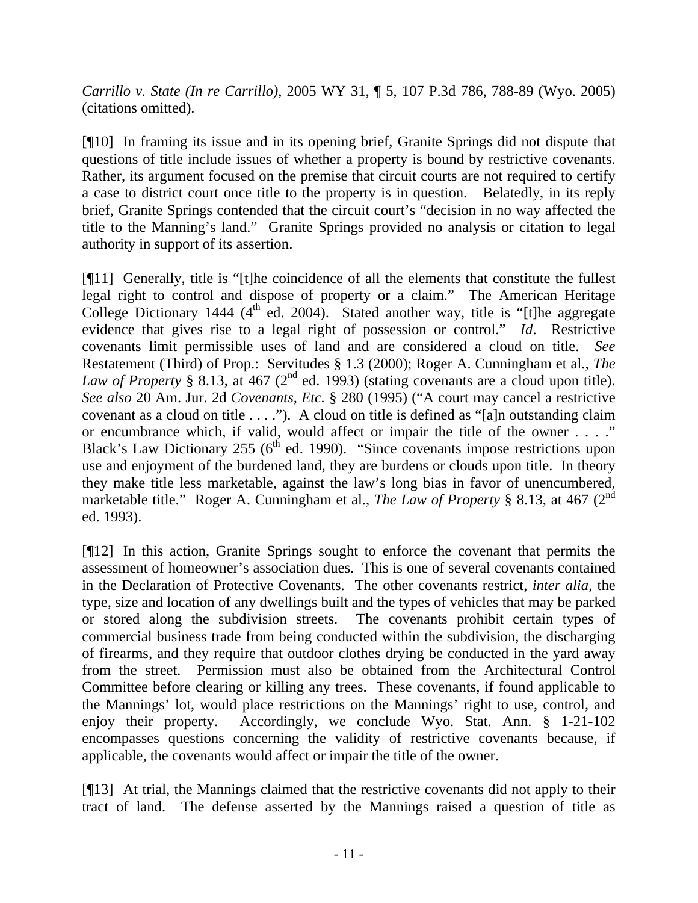*Carrillo v. State (In re Carrillo)*[, 2005 WY 31, ¶ 5, 107 P.3d 786, 788-89 \(Wyo. 2005\)](http://www.lexis.com/research/xlink?app=00075&view=full&searchtype=get&search=2005+WY+31%2C+P5) (citations omitted).

[¶10] In framing its issue and in its opening brief, Granite Springs did not dispute that questions of title include issues of whether a property is bound by restrictive covenants. Rather, its argument focused on the premise that circuit courts are not required to certify a case to district court once title to the property is in question. Belatedly, in its reply brief, Granite Springs contended that the circuit court's "decision in no way affected the title to the Manning's land." Granite Springs provided no analysis or citation to legal authority in support of its assertion.

[¶11] Generally, title is "[t]he coincidence of all the elements that constitute the fullest legal right to control and dispose of property or a claim." The American Heritage College Dictionary 1444 ( $4<sup>th</sup>$  ed. 2004). Stated another way, title is "[t]he aggregate evidence that gives rise to a legal right of possession or control." *Id*. Restrictive covenants limit permissible uses of land and are considered a cloud on title. *See*  Restatement (Third) of Prop.: Servitudes § 1.3 (2000); Roger A. Cunningham et al., *The Law of Property* § 8.13, at 467 ( $2^{nd}$  ed. 1993) (stating covenants are a cloud upon title). *See also* 20 Am. Jur. 2d *Covenants, Etc.* § 280 (1995) ("A court may cancel a restrictive covenant as a cloud on title . . . ."). A cloud on title is defined as "[a]n outstanding claim or encumbrance which, if valid, would affect or impair the title of the owner . . . ." Black's Law Dictionary 255 (6<sup>th</sup> ed. 1990). "Since covenants impose restrictions upon use and enjoyment of the burdened land, they are burdens or clouds upon title. In theory they make title less marketable, against the law's long bias in favor of unencumbered, marketable title." Roger A. Cunningham et al., *The Law of Property* § 8.13, at 467 (2<sup>nd</sup>) ed. 1993).

[¶12] In this action, Granite Springs sought to enforce the covenant that permits the assessment of homeowner's association dues. This is one of several covenants contained in the Declaration of Protective Covenants. The other covenants restrict, *inter alia,* the type, size and location of any dwellings built and the types of vehicles that may be parked or stored along the subdivision streets. The covenants prohibit certain types of commercial business trade from being conducted within the subdivision, the discharging of firearms, and they require that outdoor clothes drying be conducted in the yard away from the street. Permission must also be obtained from the Architectural Control Committee before clearing or killing any trees. These covenants, if found applicable to the Mannings' lot, would place restrictions on the Mannings' right to use, control, and enjoy their property. Accordingly, we conclude Wyo. Stat. Ann. § 1-21-102 encompasses questions concerning the validity of restrictive covenants because, if applicable, the covenants would affect or impair the title of the owner.

[¶13] At trial, the Mannings claimed that the restrictive covenants did not apply to their tract of land. The defense asserted by the Mannings raised a question of title as